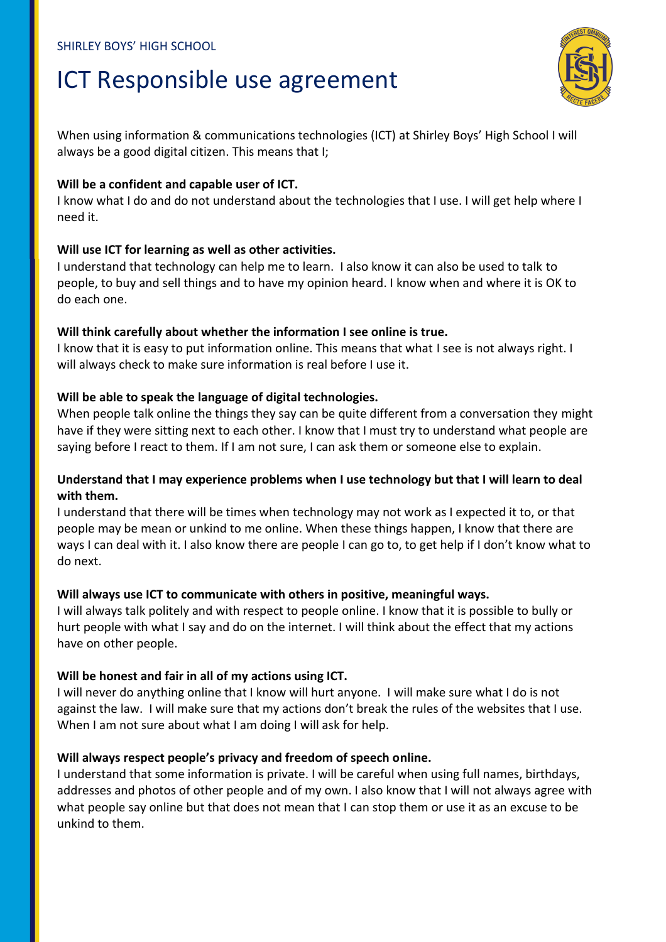## ICT Responsible use agreement



When using information & communications technologies (ICT) at Shirley Boys' High School I will always be a good digital citizen. This means that I;

#### **Will be a confident and capable user of ICT.**

I know what I do and do not understand about the technologies that I use. I will get help where I need it.

## **Will use ICT for learning as well as other activities.**

I understand that technology can help me to learn. I also know it can also be used to talk to people, to buy and sell things and to have my opinion heard. I know when and where it is OK to do each one.

#### **Will think carefully about whether the information I see online is true.**

I know that it is easy to put information online. This means that what I see is not always right. I will always check to make sure information is real before I use it.

## **Will be able to speak the language of digital technologies.**

When people talk online the things they say can be quite different from a conversation they might have if they were sitting next to each other. I know that I must try to understand what people are saying before I react to them. If I am not sure, I can ask them or someone else to explain.

## **Understand that I may experience problems when I use technology but that I will learn to deal with them.**

I understand that there will be times when technology may not work as I expected it to, or that people may be mean or unkind to me online. When these things happen, I know that there are ways I can deal with it. I also know there are people I can go to, to get help if I don't know what to do next.

#### **Will always use ICT to communicate with others in positive, meaningful ways.**

I will always talk politely and with respect to people online. I know that it is possible to bully or hurt people with what I say and do on the internet. I will think about the effect that my actions have on other people.

## **Will be honest and fair in all of my actions using ICT.**

I will never do anything online that I know will hurt anyone. I will make sure what I do is not against the law. I will make sure that my actions don't break the rules of the websites that I use. When I am not sure about what I am doing I will ask for help.

## **Will always respect people's privacy and freedom of speech online.**

I understand that some information is private. I will be careful when using full names, birthdays, addresses and photos of other people and of my own. I also know that I will not always agree with what people say online but that does not mean that I can stop them or use it as an excuse to be unkind to them.